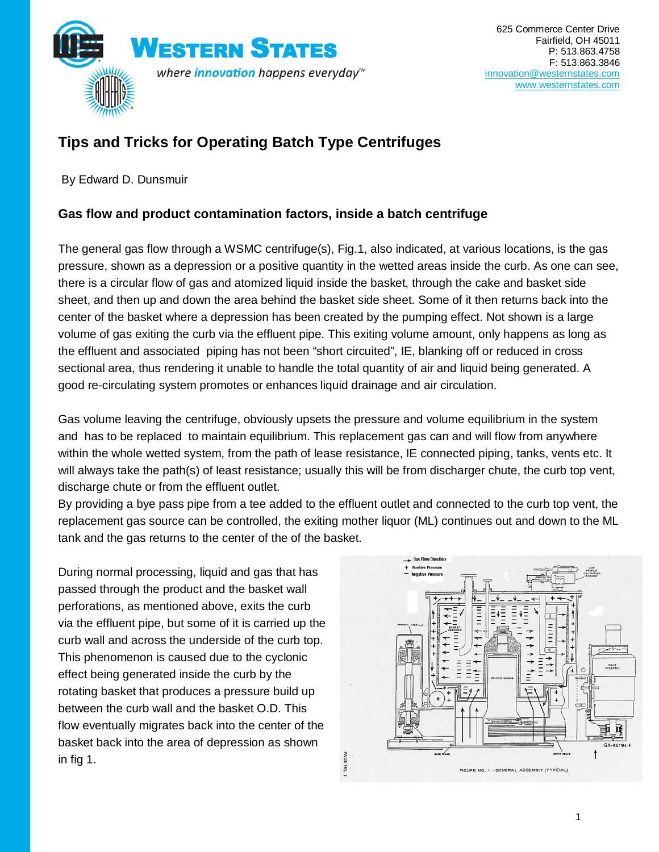

## **Tips and Tricks for Operating Batch Type Centrifuges**

By Edward D. Dunsmuir

#### **Gas flow and product contamination factors, inside a batch centrifuge**

The general gas flow through a WSMC centrifuge(s), Fig.1, also indicated, at various locations, is the gas pressure, shown as a depression or a positive quantity in the wetted areas inside the curb. As one can see, there is a circular flow of gas and atomized liquid inside the basket, through the cake and basket side sheet, and then up and down the area behind the basket side sheet. Some of it then returns back into the center of the basket where a depression has been created by the pumping effect. Not shown is a large volume of gas exiting the curb via the effluent pipe. This exiting volume amount, only happens as long as the effluent and associated piping has not been "short circuited", IE, blanking off or reduced in cross sectional area, thus rendering it unable to handle the total quantity of air and liquid being generated. A good re-circulating system promotes or enhances liquid drainage and air circulation.

Gas volume leaving the centrifuge, obviously upsets the pressure and volume equilibrium in the system and has to be replaced to maintain equilibrium. This replacement gas can and will flow from anywhere within the whole wetted system, from the path of lease resistance, IE connected piping, tanks, vents etc. It will always take the path(s) of least resistance; usually this will be from discharger chute, the curb top vent, discharge chute or from the effluent outlet.

By providing a bye pass pipe from a tee added to the effluent outlet and connected to the curb top vent, the replacement gas source can be controlled, the exiting mother liquor (ML) continues out and down to the ML tank and the gas returns to the center of the of the basket.

During normal processing, liquid and gas that has passed through the product and the basket wall perforations, as mentioned above, exits the curb via the effluent pipe, but some of it is carried up the curb wall and across the underside of the curb top. This phenomenon is caused due to the cyclonic effect being generated inside the curb by the rotating basket that produces a pressure build up between the curb wall and the basket O.D. This flow eventually migrates back into the center of the basket back into the area of depression as shown in fig 1.

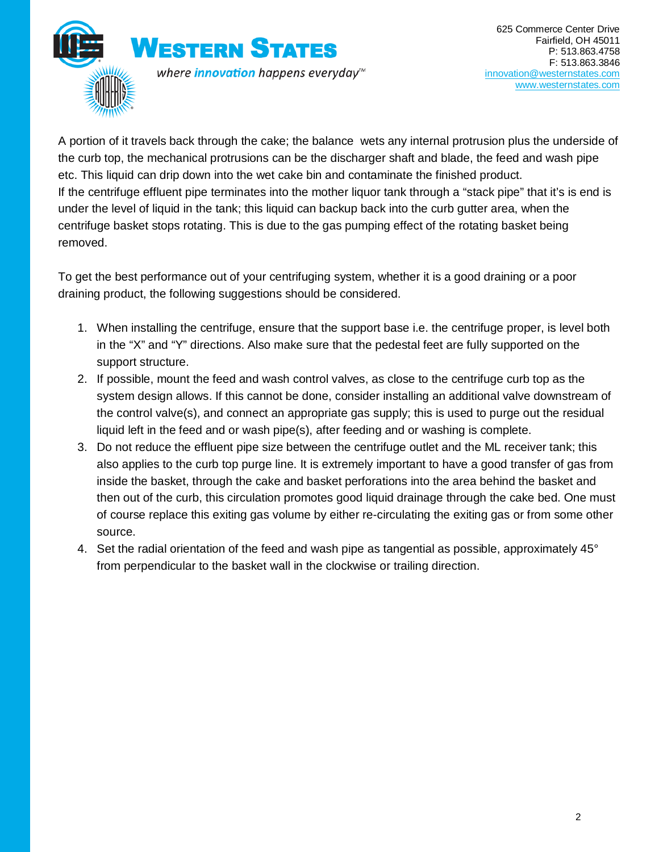

A portion of it travels back through the cake; the balance wets any internal protrusion plus the underside of the curb top, the mechanical protrusions can be the discharger shaft and blade, the feed and wash pipe etc. This liquid can drip down into the wet cake bin and contaminate the finished product. If the centrifuge effluent pipe terminates into the mother liquor tank through a "stack pipe" that it's is end is under the level of liquid in the tank; this liquid can backup back into the curb gutter area, when the centrifuge basket stops rotating. This is due to the gas pumping effect of the rotating basket being removed.

To get the best performance out of your centrifuging system, whether it is a good draining or a poor draining product, the following suggestions should be considered.

- 1. When installing the centrifuge, ensure that the support base i.e. the centrifuge proper, is level both in the "X" and "Y" directions. Also make sure that the pedestal feet are fully supported on the support structure.
- 2. If possible, mount the feed and wash control valves, as close to the centrifuge curb top as the system design allows. If this cannot be done, consider installing an additional valve downstream of the control valve(s), and connect an appropriate gas supply; this is used to purge out the residual liquid left in the feed and or wash pipe(s), after feeding and or washing is complete.
- 3. Do not reduce the effluent pipe size between the centrifuge outlet and the ML receiver tank; this also applies to the curb top purge line. It is extremely important to have a good transfer of gas from inside the basket, through the cake and basket perforations into the area behind the basket and then out of the curb, this circulation promotes good liquid drainage through the cake bed. One must of course replace this exiting gas volume by either re-circulating the exiting gas or from some other source.
- 4. Set the radial orientation of the feed and wash pipe as tangential as possible, approximately 45° from perpendicular to the basket wall in the clockwise or trailing direction.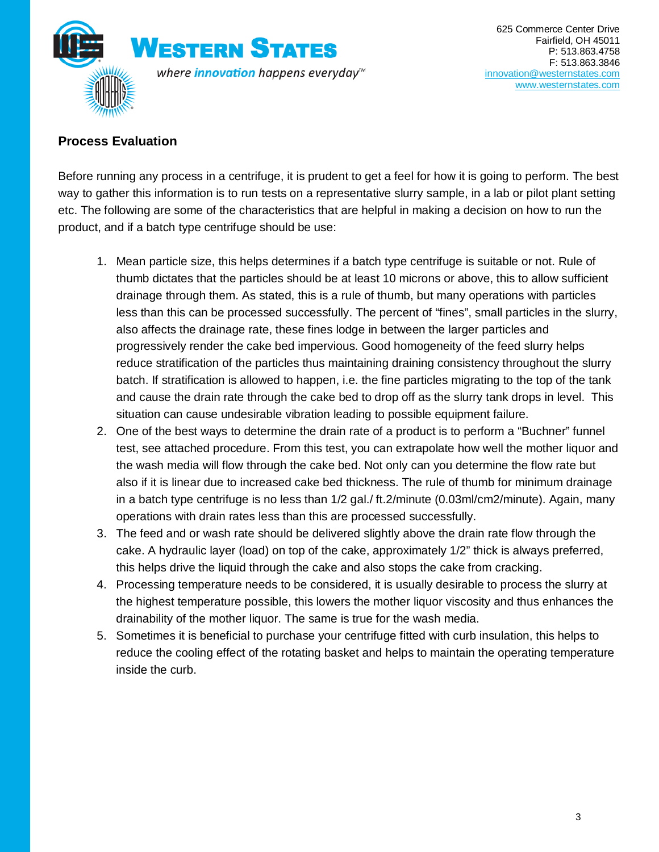

#### **Process Evaluation**

Before running any process in a centrifuge, it is prudent to get a feel for how it is going to perform. The best way to gather this information is to run tests on a representative slurry sample, in a lab or pilot plant setting etc. The following are some of the characteristics that are helpful in making a decision on how to run the product, and if a batch type centrifuge should be use:

- 1. Mean particle size, this helps determines if a batch type centrifuge is suitable or not. Rule of thumb dictates that the particles should be at least 10 microns or above, this to allow sufficient drainage through them. As stated, this is a rule of thumb, but many operations with particles less than this can be processed successfully. The percent of "fines", small particles in the slurry, also affects the drainage rate, these fines lodge in between the larger particles and progressively render the cake bed impervious. Good homogeneity of the feed slurry helps reduce stratification of the particles thus maintaining draining consistency throughout the slurry batch. If stratification is allowed to happen, i.e. the fine particles migrating to the top of the tank and cause the drain rate through the cake bed to drop off as the slurry tank drops in level. This situation can cause undesirable vibration leading to possible equipment failure.
- 2. One of the best ways to determine the drain rate of a product is to perform a "Buchner" funnel test, see attached procedure. From this test, you can extrapolate how well the mother liquor and the wash media will flow through the cake bed. Not only can you determine the flow rate but also if it is linear due to increased cake bed thickness. The rule of thumb for minimum drainage in a batch type centrifuge is no less than 1/2 gal./ ft.2/minute (0.03ml/cm2/minute). Again, many operations with drain rates less than this are processed successfully.
- 3. The feed and or wash rate should be delivered slightly above the drain rate flow through the cake. A hydraulic layer (load) on top of the cake, approximately 1/2" thick is always preferred, this helps drive the liquid through the cake and also stops the cake from cracking.
- 4. Processing temperature needs to be considered, it is usually desirable to process the slurry at the highest temperature possible, this lowers the mother liquor viscosity and thus enhances the drainability of the mother liquor. The same is true for the wash media.
- 5. Sometimes it is beneficial to purchase your centrifuge fitted with curb insulation, this helps to reduce the cooling effect of the rotating basket and helps to maintain the operating temperature inside the curb.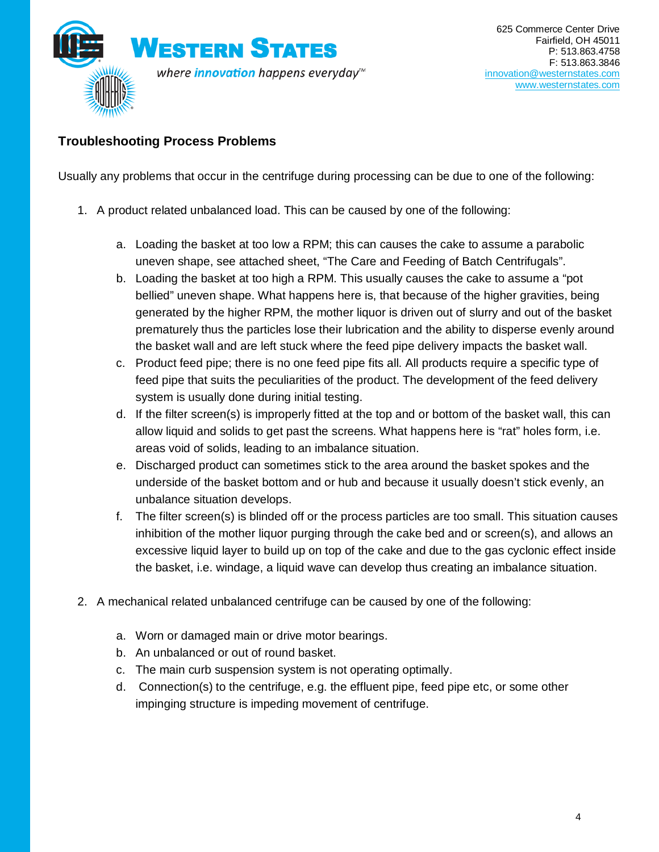

### **Troubleshooting Process Problems**

Usually any problems that occur in the centrifuge during processing can be due to one of the following:

- 1. A product related unbalanced load. This can be caused by one of the following:
	- a. Loading the basket at too low a RPM; this can causes the cake to assume a parabolic uneven shape, see attached sheet, "The Care and Feeding of Batch Centrifugals".
	- b. Loading the basket at too high a RPM. This usually causes the cake to assume a "pot bellied" uneven shape. What happens here is, that because of the higher gravities, being generated by the higher RPM, the mother liquor is driven out of slurry and out of the basket prematurely thus the particles lose their lubrication and the ability to disperse evenly around the basket wall and are left stuck where the feed pipe delivery impacts the basket wall.
	- c. Product feed pipe; there is no one feed pipe fits all. All products require a specific type of feed pipe that suits the peculiarities of the product. The development of the feed delivery system is usually done during initial testing.
	- d. If the filter screen(s) is improperly fitted at the top and or bottom of the basket wall, this can allow liquid and solids to get past the screens. What happens here is "rat" holes form, i.e. areas void of solids, leading to an imbalance situation.
	- e. Discharged product can sometimes stick to the area around the basket spokes and the underside of the basket bottom and or hub and because it usually doesn't stick evenly, an unbalance situation develops.
	- f. The filter screen(s) is blinded off or the process particles are too small. This situation causes inhibition of the mother liquor purging through the cake bed and or screen(s), and allows an excessive liquid layer to build up on top of the cake and due to the gas cyclonic effect inside the basket, i.e. windage, a liquid wave can develop thus creating an imbalance situation.
- 2. A mechanical related unbalanced centrifuge can be caused by one of the following:
	- a. Worn or damaged main or drive motor bearings.
	- b. An unbalanced or out of round basket.
	- c. The main curb suspension system is not operating optimally.
	- d. Connection(s) to the centrifuge, e.g. the effluent pipe, feed pipe etc, or some other impinging structure is impeding movement of centrifuge.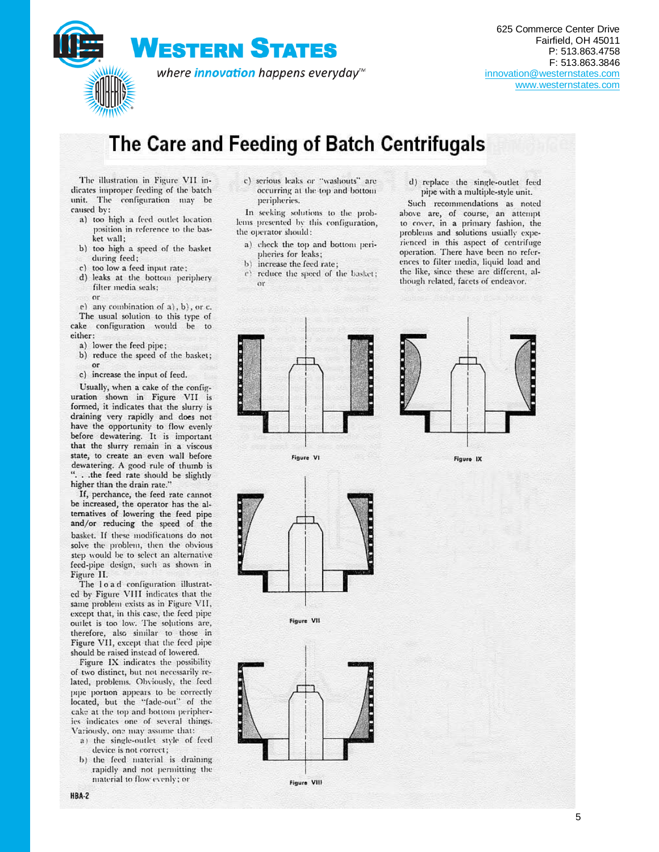

# The Care and Feeding of Batch Centrifugals

The illustration in Figure VII indicates improper feeding of the batch unit. The configuration may be caused by:

- a) too high a feed outlet location position in reference to the basket wall:
- b) too high a speed of the basket during feed;
- c) too low a feed input rate;
- d) leaks at the bottom periphery filter media seals: or

e) any combination of a), b), or c. The usual solution to this type of cake configuration would be to either:

- a) lower the feed pipe;
- b) reduce the speed of the basket; or
- c) increase the input of feed.

Usually, when a cake of the configuration shown in Figure VII is formed, it indicates that the slurry is draining very rapidly and does not have the opportunity to flow evenly before dewatering. It is important that the slurry remain in a viscous state, to create an even wall before dewatering. A good rule of thumb is ... the feed rate should be slightly higher than the drain rate."

If, perchance, the feed rate cannot be increased, the operator has the alternatives of lowering the feed pipe and/or reducing the speed of the basket. If these modifications do not solve the problem, then the obvious step would be to select an alternative feed-pipe design, such as shown in Figure II.

The load configuration illustrated by Figure VIII indicates that the same problem exists as in Figure VII, except that, in this case, the feed pipe outlet is too low. The solutions are, therefore, also similar to those in Figure VII, except that the feed pipe should be raised instead of lowered.

Figure IX indicates the possibility of two distinct, but not necessarily related, problems. Obviously, the feed pipe portion appears to be correctly located, but the "fade-out" of the cake at the top and bottom peripheries indicates one of several things. Variously, one may assume that:

- a) the single-outlet style of feed device is not correct;
- b) the feed material is draining rapidly and not permitting the material to flow evenly; or

c) serious leaks or "washouts" are occurring at the top and bottom peripheries.

In seeking solutions to the problems presented by this configuration, the operator should:

a) check the top and bottom peri-

- pheries for leaks;  $h$ increase the feed rate;
- reduce the speed of the basket;  $\mathfrak{c}$  $\alpha$ r

d) replace the single-outlet feed pipe with a multiple-style unit.

Such recommendations as noted above are, of course, an attempt to cover, in a primary fashion, the problems and solutions usually experienced in this aspect of centrifuge operation. There have been no references to filter media, liquid load and the like, since these are different, although related, facets of endeavor.



Figure IX



Figure VI

Figure VII